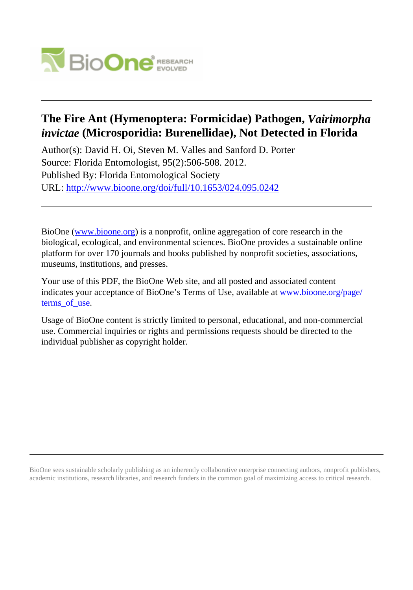

# **The Fire Ant (Hymenoptera: Formicidae) Pathogen,** *Vairimorpha invictae* **(Microsporidia: Burenellidae), Not Detected in Florida**

Author(s): David H. Oi, Steven M. Valles and Sanford D. Porter Source: Florida Entomologist, 95(2):506-508. 2012. Published By: Florida Entomological Society URL: <http://www.bioone.org/doi/full/10.1653/024.095.0242>

BioOne [\(www.bioone.org\)](http://www.bioone.org) is a nonprofit, online aggregation of core research in the biological, ecological, and environmental sciences. BioOne provides a sustainable online platform for over 170 journals and books published by nonprofit societies, associations, museums, institutions, and presses.

Your use of this PDF, the BioOne Web site, and all posted and associated content indicates your acceptance of BioOne's Terms of Use, available at [www.bioone.org/page/](http://www.bioone.org/page/terms_of_use) terms of use.

Usage of BioOne content is strictly limited to personal, educational, and non-commercial use. Commercial inquiries or rights and permissions requests should be directed to the individual publisher as copyright holder.

BioOne sees sustainable scholarly publishing as an inherently collaborative enterprise connecting authors, nonprofit publishers, academic institutions, research libraries, and research funders in the common goal of maximizing access to critical research.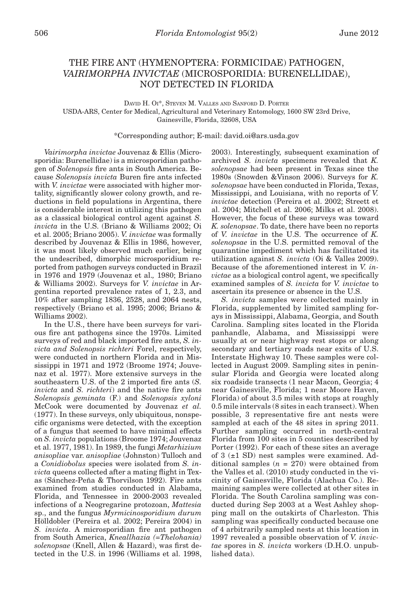# THE FIRE ANT (HYMENOPTERA: FORMICIDAE) PATHOGEN, *VAIRIMORPHA INVICTAE* (MICROSPORIDIA: BURENELLIDAE), NOT DETECTED IN FLORIDA

## David H. Oi\*, Steven M. Valles and Sanford D. Porter USDA-ARS, Center for Medical, Agricultural and Veterinary Entomology, 1600 SW 23rd Drive, Gainesville, Florida, 32608, USA

# \*Corresponding author; E-mail: david.oi@ars.usda.gov

*Vairimorpha invictae* Jouvenaz & Ellis (Microsporidia: Burenellidae) is a microsporidian pathogen of *Solenopsis* fire ants in South America. Because *Solenopsis invicta* Buren fire ants infected with *V. invictae* were associated with higher mortality, significantly slower colony growth, and reductions in field populations in Argentina, there is considerable interest in utilizing this pathogen as a classical biological control agent against *S. invicta* in the U.S. (Briano & Williams 2002; Oi et al. 2005; Briano 2005). *V. invictae* was formally described by Jouvenaz & Ellis in 1986, however, it was most likely observed much earlier, being the undescribed, dimorphic microsporidium reported from pathogen surveys conducted in Brazil in 1976 and 1979 (Jouvenaz et al.*,* 1980; Briano & Williams 2002). Surveys for *V. invictae* in Argentina reported prevalence rates of 1, 2.3, and 10% after sampling 1836, 2528, and 2064 nests, respectively (Briano et al. 1995; 2006; Briano & Williams 2002).

In the U.S., there have been surveys for various fire ant pathogens since the 1970s. Limited surveys of red and black imported fire ants, *S. invicta and Solenopsis richteri* Forel, respectively, were conducted in northern Florida and in Mississippi in 1971 and 1972 (Broome 1974; Jouvenaz et al. 1977). More extensive surveys in the southeastern U.S. of the 2 imported fire ants (*S. invicta* and *S. richteri*) and the native fire ants *Solenopsis geminata* (F.) and *Solenopsis xyloni* McCook were documented by Jouvenaz *et al.* (1977). In these surveys, only ubiquitous, nonspecific organisms were detected, with the exception of a fungus that seemed to have minimal effects on *S. invicta* populations (Broome 1974; Jouvenaz et al. 1977, 1981). In 1989, the fungi *Metarhizium anisopliae* var. *anisopliae* (Johnston) Tulloch and a *Conidiobolus* species were isolated from *S. invicta* queens collected after a mating flight in Texas (Sánchez-Peña & Thorvilson 1992). Fire ants examined from studies conducted in Alabama, Florida, and Tennessee in 2000-2003 revealed infections of a Neogregarine protozoan, *Mattesia* sp., and the fungus *Myrmicinosporidium durum* Hölldobler (Pereira et al. 2002; Pereira 2004) in *S. invicta*. A microsporidian fire ant pathogen from South America, *Kneallhazia (=Thelohania) solenopsae* (Knell, Allen & Hazard), was first detected in the U.S. in 1996 (Williams et al. 1998,

2003). Interestingly, subsequent examination of archived *S. invicta* specimens revealed that *K. solenopsae* had been present in Texas since the 1980s (Snowden &Vinson 2006). Surveys for *K. solenopsae* have been conducted in Florida, Texas, Mississippi, and Louisiana, with no reports of *V. invictae* detection (Pereira et al. 2002; Streett et al. 2004; Mitchell et al. 2006; Milks et al. 2008). However, the focus of these surveys was toward *K. solenopsae*. To date, there have been no reports of *V. invictae* in the U.S. The occurrence of *K. solenopsae* in the U.S. permitted removal of the quarantine impediment which has facilitated its utilization against *S. invicta* (Oi & Valles 2009). Because of the aforementioned interest in *V. invictae* as a biological control agent, we specifically examined samples of *S. invicta* for *V. invictae* to ascertain its presence or absence in the U.S.

*S. invicta* samples were collected mainly in Florida, supplemented by limited sampling forays in Mississippi, Alabama, Georgia, and South Carolina. Sampling sites located in the Florida panhandle, Alabama, and Mississippi were usually at or near highway rest stops or along secondary and tertiary roads near exits of U.S. Interstate Highway 10. These samples were collected in August 2009. Sampling sites in peninsular Florida and Georgia were located along six roadside transects (1 near Macon, Georgia; 4 near Gainesville, Florida; 1 near Moore Haven, Florida) of about 3.5 miles with stops at roughly 0.5 mile intervals (8 sites in each transect). When possible, 3 representative fire ant nests were sampled at each of the 48 sites in spring 2011. Further sampling occurred in north-central Florida from 100 sites in 5 counties described by Porter (1992). For each of these sites an average of  $3 \pm 1$  SD) nest samples were examined. Additional samples  $(n = 270)$  were obtained from the Valles et al. (2010) study conducted in the vicinity of Gainesville, Florida (Alachua Co.). Remaining samples were collected at other sites in Florida. The South Carolina sampling was conducted during Sep 2003 at a West Ashley shopping mall on the outskirts of Charleston. This sampling was specifically conducted because one of 4 arbitrarily sampled nests at this location in 1997 revealed a possible observation of *V. invictae* spores in *S. invicta* workers (D.H.O. unpublished data).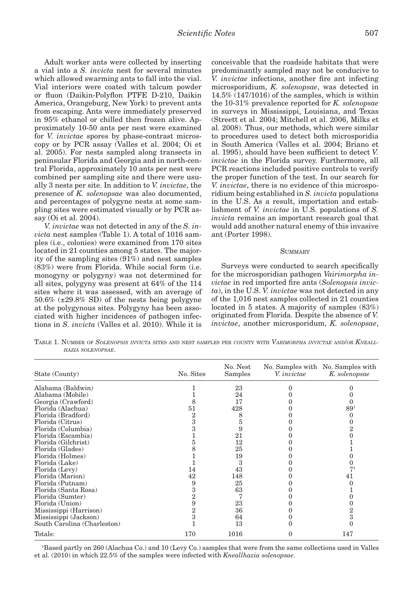Adult worker ants were collected by inserting a vial into a *S. invicta* nest for several minutes which allowed swarming ants to fall into the vial. Vial interiors were coated with talcum powder or fluon (Daikin-Polyflon PTFE D-210, Daikin America, Orangeburg, New York) to prevent ants from escaping. Ants were immediately preserved in 95% ethanol or chilled then frozen alive. Approximately 10-50 ants per nest were examined for *V. invictae* spores by phase-contrast microscopy or by PCR assay (Valles et al. 2004; Oi et al. 2005). For nests sampled along transects in peninsular Florida and Georgia and in north-central Florida, approximately 10 ants per nest were combined per sampling site and there were usually 3 nests per site. In addition to *V. invictae*, the presence of *K. solenopsae* was also documented, and percentages of polygyne nests at some sampling sites were estimated visually or by PCR assay (Oi et al. 2004).

*V. invictae* was not detected in any of the *S. invicta* nest samples (Table 1). A total of 1016 samples (i.e., colonies) were examined from 170 sites located in 21 counties among 5 states. The majority of the sampling sites (91%) and nest samples (83%) were from Florida. While social form (i.e. monogyny or polygyny) was not determined for all sites, polygyny was present at 64% of the 114 sites where it was assessed, with an average of  $50.6\%$  ( $\pm 29.8\%$  SD) of the nests being polygyne at the polygynous sites. Polygyny has been associated with higher incidences of pathogen infections in *S. invicta* (Valles et al. 2010). While it is

conceivable that the roadside habitats that were predominantly sampled may not be conducive to *V. invictae* infections, another fire ant infecting microsporidium, *K. solenopsae*, was detected in 14.5% (147/1016) of the samples, which is within the 10-31% prevalence reported for *K. solenopsae* in surveys in Mississippi, Louisiana, and Texas (Streett et al. 2004; Mitchell et al. 2006, Milks et al. 2008). Thus, our methods, which were similar to procedures used to detect both microsporidia in South America (Valles et al. 2004; Briano et al. 1995), should have been sufficient to detect *V. invictae* in the Florida survey. Furthermore, all PCR reactions included positive controls to verify the proper function of the test. In our search for *V. invictae*, there is no evidence of this microsporidium being established in *S. invicta* populations in the U.S. As a result, importation and establishment of *V. invictae* in U.S. populations of *S. invicta* remains an important research goal that would add another natural enemy of this invasive ant (Porter 1998).

#### **SUMMARY**

Surveys were conducted to search specifically for the microsporidian pathogen *Vairimorpha invictae* in red imported fire ants (*Solenopsis invicta*), in the U.S. *V. invictae* was not detected in any of the 1,016 nest samples collected in 21 counties located in 5 states. A majority of samples (83%) originated from Florida. Despite the absence of *V. invictae*, another microsporidum, *K. solenopsae*,

Table 1. Number of *Solenopsis invicta* sites and nest samples per county with *Varimorpha invictae* and/or *Kneallhazia solenopsae*.

| State (County)              | No. Sites      | No. Nest<br>Samples | V. <i>invictae</i> | No. Samples with No. Samples with<br>K. solenopsae |
|-----------------------------|----------------|---------------------|--------------------|----------------------------------------------------|
| Alabama (Baldwin)           |                | 23                  |                    |                                                    |
| Alabama (Mobile)            |                | 24                  |                    |                                                    |
| Georgia (Crawford)          |                | 17                  |                    |                                                    |
| Florida (Alachua)           | 51             | 428                 |                    | $89^{1}$                                           |
| Florida (Bradford)          |                | 8                   |                    |                                                    |
| Florida (Citrus)            | з              | h.                  |                    |                                                    |
| Florida (Columbia)          |                | 9                   |                    |                                                    |
| Florida (Escambia)          |                | 21                  |                    |                                                    |
| Florida (Gilchrist)         |                | 12                  |                    |                                                    |
| Florida (Glades)            |                | 25                  |                    |                                                    |
| Florida (Holmes)            |                | 19                  |                    |                                                    |
| Florida (Lake)              |                | 3                   |                    |                                                    |
| Florida (Levy)              | 14             | 43                  |                    | 71                                                 |
| Florida (Marion)            | 42             | 148                 |                    | 41                                                 |
| Florida (Putnam)            | 9              | 25                  |                    |                                                    |
| Florida (Santa Rosa)        | 3              | 63                  |                    |                                                    |
| Florida (Sumter)            | 2              |                     |                    |                                                    |
| Florida (Union)             | 9              | 23                  |                    |                                                    |
| Mississippi (Harrison)      | $\overline{2}$ | 36                  |                    |                                                    |
| Mississippi (Jackson)       | 3              | 64                  |                    | 3                                                  |
| South Carolina (Charleston) |                | 13                  |                    |                                                    |
| Totals:                     | 170            | 1016                |                    | 147                                                |

1 Based partly on 260 (Alachua Co.) and 10 (Levy Co.) samples that were from the same collections used in Valles et al. (2010) in which 22.5% of the samples were infected with *Kneallhazia solenopsae*.